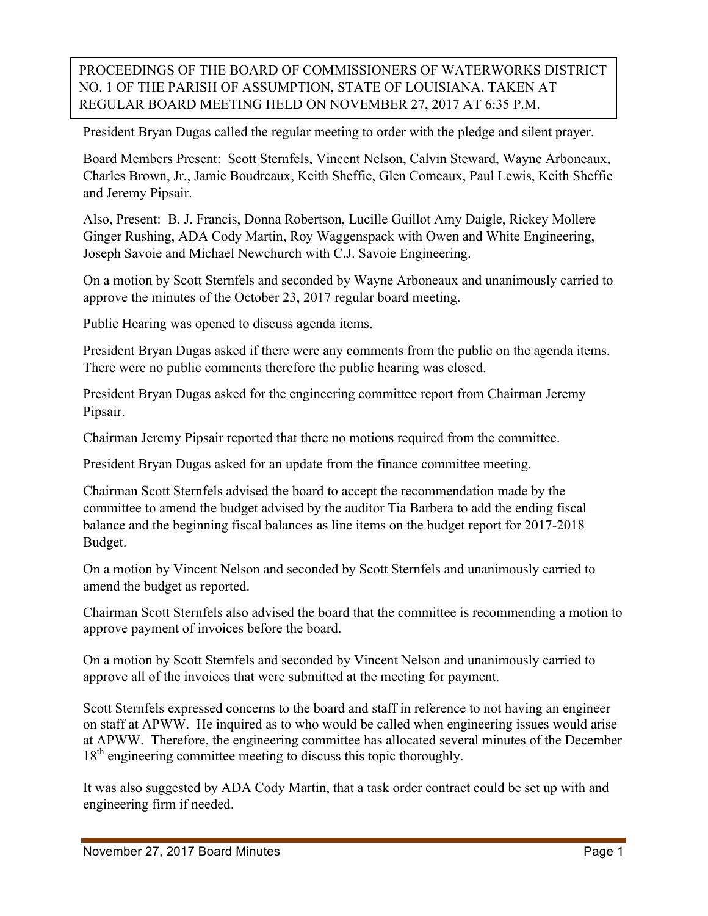## PROCEEDINGS OF THE BOARD OF COMMISSIONERS OF WATERWORKS DISTRICT NO. 1 OF THE PARISH OF ASSUMPTION, STATE OF LOUISIANA, TAKEN AT REGULAR BOARD MEETING HELD ON NOVEMBER 27, 2017 AT 6:35 P.M.

President Bryan Dugas called the regular meeting to order with the pledge and silent prayer.

Board Members Present: Scott Sternfels, Vincent Nelson, Calvin Steward, Wayne Arboneaux, Charles Brown, Jr., Jamie Boudreaux, Keith Sheffie, Glen Comeaux, Paul Lewis, Keith Sheffie and Jeremy Pipsair.

Also, Present: B. J. Francis, Donna Robertson, Lucille Guillot Amy Daigle, Rickey Mollere Ginger Rushing, ADA Cody Martin, Roy Waggenspack with Owen and White Engineering, Joseph Savoie and Michael Newchurch with C.J. Savoie Engineering.

On a motion by Scott Sternfels and seconded by Wayne Arboneaux and unanimously carried to approve the minutes of the October 23, 2017 regular board meeting.

Public Hearing was opened to discuss agenda items.

President Bryan Dugas asked if there were any comments from the public on the agenda items. There were no public comments therefore the public hearing was closed.

President Bryan Dugas asked for the engineering committee report from Chairman Jeremy Pipsair.

Chairman Jeremy Pipsair reported that there no motions required from the committee.

President Bryan Dugas asked for an update from the finance committee meeting.

Chairman Scott Sternfels advised the board to accept the recommendation made by the committee to amend the budget advised by the auditor Tia Barbera to add the ending fiscal balance and the beginning fiscal balances as line items on the budget report for 2017-2018 Budget.

On a motion by Vincent Nelson and seconded by Scott Sternfels and unanimously carried to amend the budget as reported.

Chairman Scott Sternfels also advised the board that the committee is recommending a motion to approve payment of invoices before the board.

On a motion by Scott Sternfels and seconded by Vincent Nelson and unanimously carried to approve all of the invoices that were submitted at the meeting for payment.

Scott Sternfels expressed concerns to the board and staff in reference to not having an engineer on staff at APWW. He inquired as to who would be called when engineering issues would arise at APWW. Therefore, the engineering committee has allocated several minutes of the December 18<sup>th</sup> engineering committee meeting to discuss this topic thoroughly.

It was also suggested by ADA Cody Martin, that a task order contract could be set up with and engineering firm if needed.